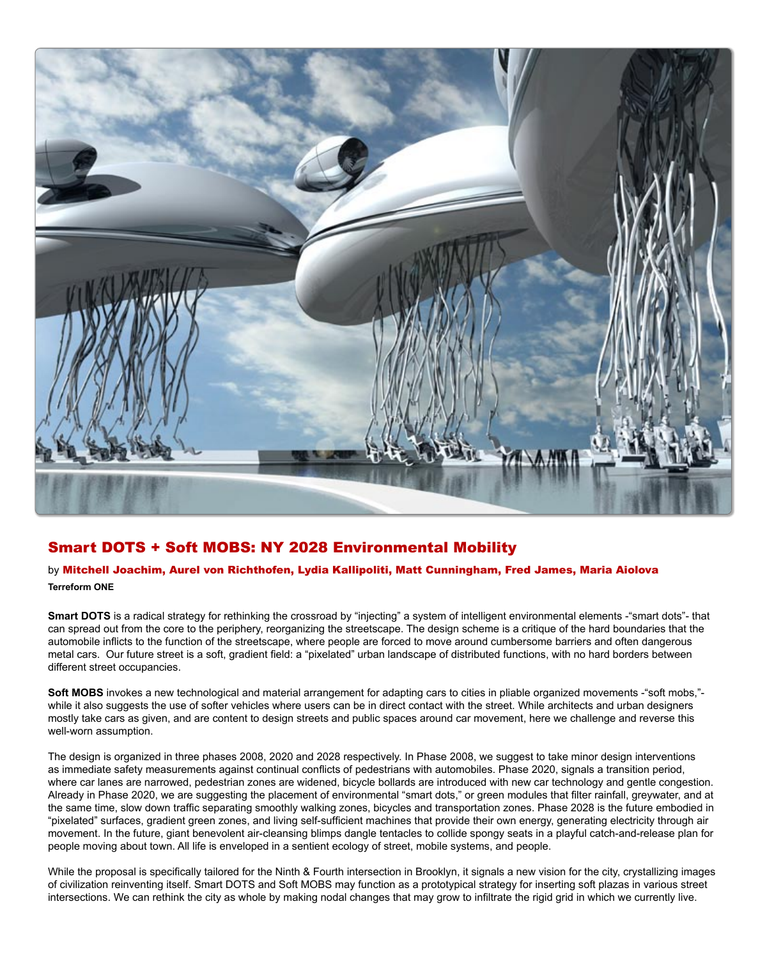

#### Smart DOTS + Soft MOBS: NY 2028 Environmental Mobility

by Mitchell Joachim, Aurel von Richthofen, Lydia Kallipoliti, Matt Cunningham, Fred James, Maria Aiolova **Terreform ONE**

**Smart DOTS** is a radical strategy for rethinking the crossroad by "injecting" a system of intelligent environmental elements -"smart dots"- that can spread out from the core to the periphery, reorganizing the streetscape. The design scheme is a critique of the hard boundaries that the automobile inflicts to the function of the streetscape, where people are forced to move around cumbersome barriers and often dangerous metal cars. Our future street is a soft, gradient field: a "pixelated" urban landscape of distributed functions, with no hard borders between different street occupancies.

**Soft MOBS** invokes a new technological and material arrangement for adapting cars to cities in pliable organized movements -"soft mobs," while it also suggests the use of softer vehicles where users can be in direct contact with the street. While architects and urban designers mostly take cars as given, and are content to design streets and public spaces around car movement, here we challenge and reverse this well-worn assumption.

The design is organized in three phases 2008, 2020 and 2028 respectively. In Phase 2008, we suggest to take minor design interventions as immediate safety measurements against continual conflicts of pedestrians with automobiles. Phase 2020, signals a transition period, where car lanes are narrowed, pedestrian zones are widened, bicycle bollards are introduced with new car technology and gentle congestion. Already in Phase 2020, we are suggesting the placement of environmental "smart dots," or green modules that filter rainfall, greywater, and at the same time, slow down traffic separating smoothly walking zones, bicycles and transportation zones. Phase 2028 is the future embodied in "pixelated" surfaces, gradient green zones, and living self-sufficient machines that provide their own energy, generating electricity through air movement. In the future, giant benevolent air-cleansing blimps dangle tentacles to collide spongy seats in a playful catch-and-release plan for people moving about town. All life is enveloped in a sentient ecology of street, mobile systems, and people.

While the proposal is specifically tailored for the Ninth & Fourth intersection in Brooklyn, it signals a new vision for the city, crystallizing images of civilization reinventing itself. Smart DOTS and Soft MOBS may function as a prototypical strategy for inserting soft plazas in various street intersections. We can rethink the city as whole by making nodal changes that may grow to infiltrate the rigid grid in which we currently live.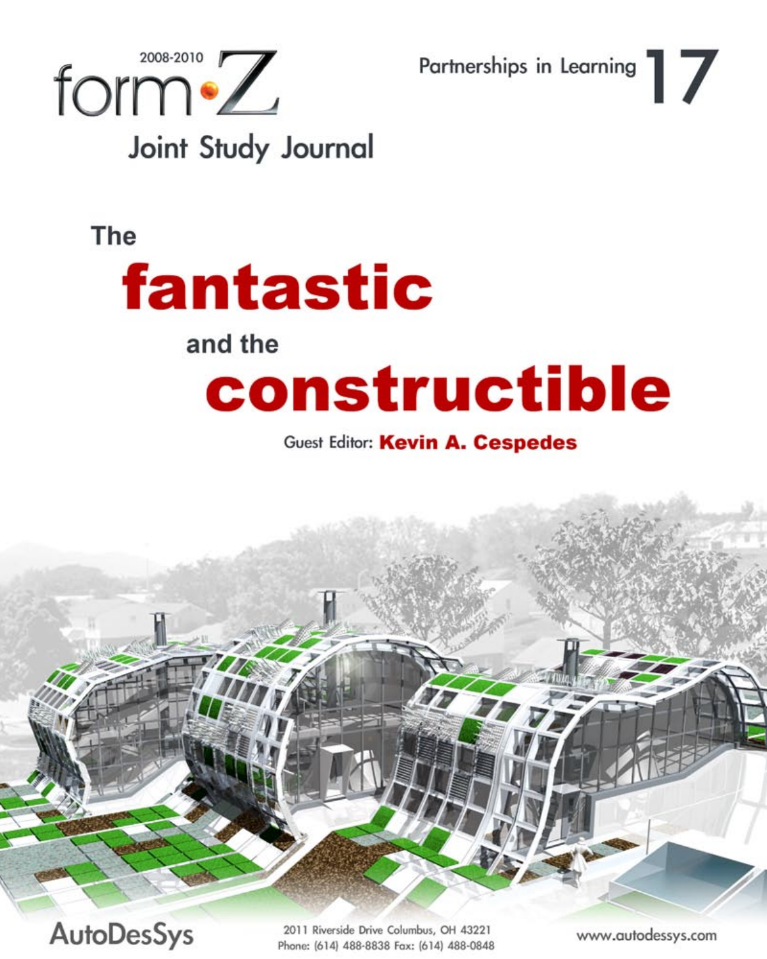

Partnerships in Learning

### **The**

# fantastic and the constructible

### Guest Editor: Kevin A. Cespedes

**AutoDesSys** 

2011 Riverside Drive Columbus, OH 43221 Phone: (614) 488-8838 Fax: (614) 488-0848

www.autodessys.com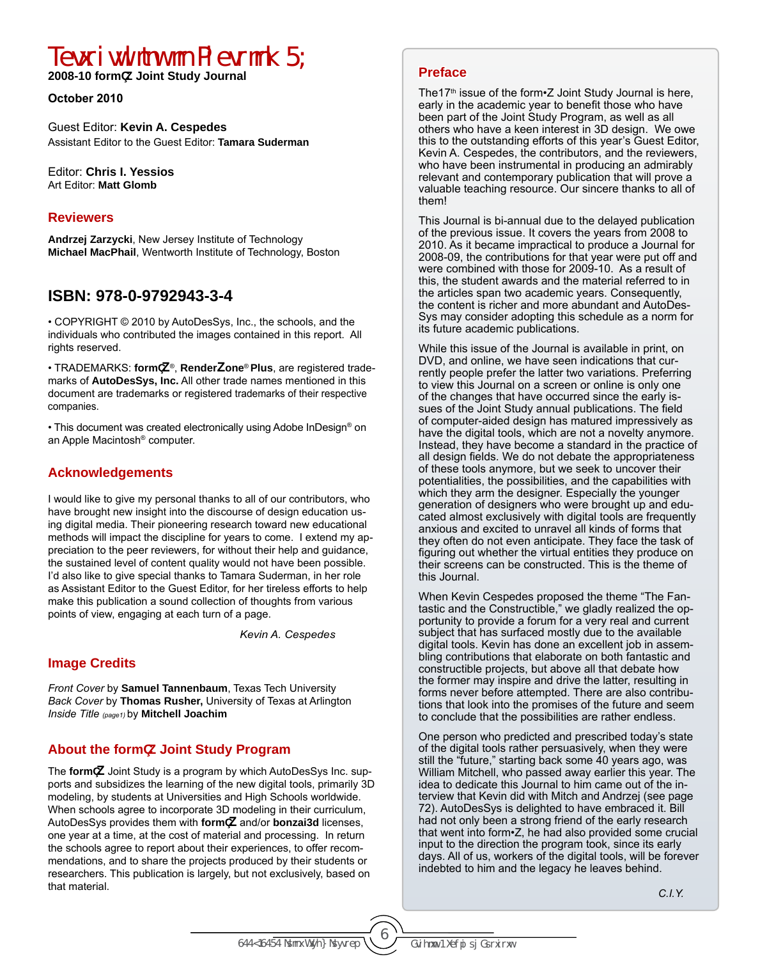## Partnerships in Learning 17

**2008-10 form•Z Joint Study Journal**

#### **October 2010**

Guest Editor: **Kevin A. Cespedes** Assistant Editor to the Guest Editor: **Tamara Suderman**

Editor: **Chris I. Yessios** Art Editor: **Matt Glomb** 

#### **Reviewers**

**Andrzej Zarzycki**, New Jersey Institute of Technology **Michael MacPhail**, Wentworth Institute of Technology, Boston

#### **ISBN: 978-0-9792943-3-4**

• COPYRIGHT © 2010 by AutoDesSys, Inc., the schools, and the individuals who contributed the images contained in this report. All rights reserved.

• TRADEMARKS: **form•Z**®, **RenderZone**® **Plus**, are registered trademarks of **AutoDesSys, Inc.** All other trade names mentioned in this document are trademarks or registered trademarks of their respective companies.

• This document was created electronically using Adobe InDesign® on an Apple Macintosh® computer.

#### **Acknowledgements**

I would like to give my personal thanks to all of our contributors, who have brought new insight into the discourse of design education using digital media. Their pioneering research toward new educational methods will impact the discipline for years to come. I extend my appreciation to the peer reviewers, for without their help and guidance, the sustained level of content quality would not have been possible. I'd also like to give special thanks to Tamara Suderman, in her role as Assistant Editor to the Guest Editor, for her tireless efforts to help make this publication a sound collection of thoughts from various points of view, engaging at each turn of a page.

*Kevin A. Cespedes*

#### **Image Credits**

*Front Cover* by **Samuel Tannenbaum**, Texas Tech University *Back Cover* by **Thomas Rusher,** University of Texas at Arlington *Inside Title (page1)* by **Mitchell Joachim**

#### **About the form•Z Joint Study Program**

The **form•Z** Joint Study is a program by which AutoDesSys Inc. supports and subsidizes the learning of the new digital tools, primarily 3D modeling, by students at Universities and High Schools worldwide. When schools agree to incorporate 3D modeling in their curriculum, AutoDesSys provides them with **form•Z** and/or **bonzai3d** licenses, one year at a time, at the cost of material and processing. In return the schools agree to report about their experiences, to offer recommendations, and to share the projects produced by their students or researchers. This publication is largely, but not exclusively, based on that material.

#### **Preface**

The17<sup>th</sup> issue of the form $\cdot$ Z Joint Study Journal is here, early in the academic year to benefit those who have been part of the Joint Study Program, as well as all others who have a keen interest in 3D design. We owe this to the outstanding efforts of this year's Guest Editor, Kevin A. Cespedes, the contributors, and the reviewers, who have been instrumental in producing an admirably relevant and contemporary publication that will prove a valuable teaching resource. Our sincere thanks to all of them!

This Journal is bi-annual due to the delayed publication of the previous issue. It covers the years from 2008 to 2010. As it became impractical to produce a Journal for 2008-09, the contributions for that year were put off and were combined with those for 2009-10. As a result of this, the student awards and the material referred to in the articles span two academic years. Consequently, the content is richer and more abundant and AutoDes-Sys may consider adopting this schedule as a norm for its future academic publications.

While this issue of the Journal is available in print, on DVD, and online, we have seen indications that currently people prefer the latter two variations. Preferring to view this Journal on a screen or online is only one of the changes that have occurred since the early issues of the Joint Study annual publications. The field of computer-aided design has matured impressively as have the digital tools, which are not a novelty anymore. Instead, they have become a standard in the practice of all design fields. We do not debate the appropriateness of these tools anymore, but we seek to uncover their potentialities, the possibilities, and the capabilities with which they arm the designer. Especially the younger generation of designers who were brought up and educated almost exclusively with digital tools are frequently anxious and excited to unravel all kinds of forms that they often do not even anticipate. They face the task of figuring out whether the virtual entities they produce on their screens can be constructed. This is the theme of this Journal.

When Kevin Cespedes proposed the theme "The Fantastic and the Constructible," we gladly realized the opportunity to provide a forum for a very real and current subject that has surfaced mostly due to the available digital tools. Kevin has done an excellent job in assembling contributions that elaborate on both fantastic and constructible projects, but above all that debate how the former may inspire and drive the latter, resulting in forms never before attempted. There are also contributions that look into the promises of the future and seem to conclude that the possibilities are rather endless.

One person who predicted and prescribed today's state of the digital tools rather persuasively, when they were still the "future," starting back some 40 years ago, was William Mitchell, who passed away earlier this year. The idea to dedicate this Journal to him came out of the interview that Kevin did with Mitch and Andrzej (see page 72). AutoDesSys is delighted to have embraced it. Bill had not only been a strong friend of the early research that went into form•Z, he had also provided some crucial input to the direction the program took, since its early days. All of us, workers of the digital tools, will be forever indebted to him and the legacy he leaves behind.

*C.I.Y.* **C.I.Y.**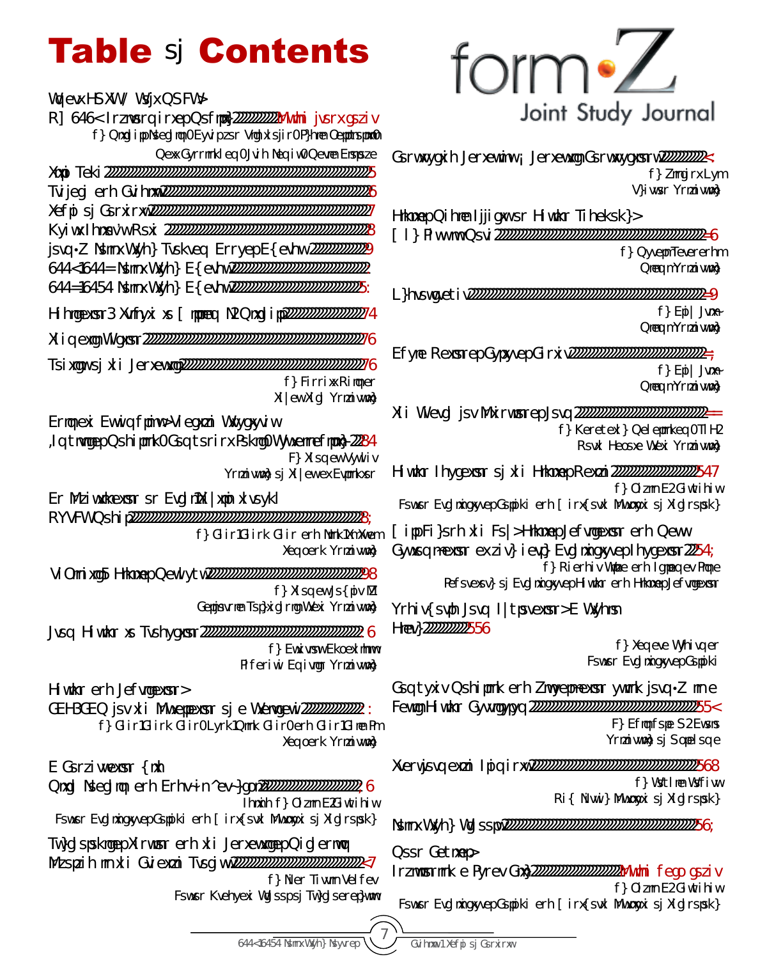## Table of Contents

| Smart DOTS + Soft MDBS:                                                           |              |
|-----------------------------------------------------------------------------------|--------------|
| NY 2028 Environmental MobiltyInside front cover                                   |              |
| by Mtchell Joachim, Aurel von Richthofen, Lydia Kallipoliti,                      |              |
| Matt Curringham, Fred James, Maria Aidova                                         | Const        |
|                                                                                   |              |
|                                                                                   |              |
|                                                                                   | Digita       |
| form Z Joint Study Program Annual Awards 5                                        | <b>Why</b>   |
|                                                                                   |              |
|                                                                                   | Hydro        |
| Dedication/ Tribute to William J. Mitchell30                                      |              |
|                                                                                   |              |
| 32                                                                                | Abuja        |
| by Bennett Neiman                                                                 |              |
| Texas Tech University                                                             |              |
| Animate Assemblies Readive Strudures                                              | The S        |
| (Empirical Modeling, Component Logic, Sustainability)40                           |              |
| By Thomas Rusher                                                                  | Desig        |
| University of Texas at Arlington                                                  |              |
| An Investigation on Archi-Textile through                                         | <b>Bosto</b> |
| by Chen-Cheng Chen and Jing-Ti Tsai                                               | Well         |
| Tankang University                                                                | Qusto        |
|                                                                                   |              |
| by Thomas Fowler IV                                                               |              |
| California Polytechnic State University                                           | Under        |
|                                                                                   | Diary.       |
| by Asterios Agkathidis                                                            |              |
| <b>Lebanese Amerion University</b>                                                |              |
| Design and Fabrication                                                            | Comp         |
|                                                                                   | Basic        |
| by Chen-Cheng Chen, Hung-Ming Chen, and Chen-Chia Li<br><b>Tankang University</b> |              |
| A Conversation with                                                               | Trans        |
|                                                                                   |              |
| Edited by Kevin A.Cespedes                                                        |              |
| Boston Architectural College and Wentworth Institute of Technology                | Joint:       |
| Psychological Tension and the Fantastical Mechanism                               | Moon         |
| 83                                                                                | Envisi       |
| by Jean Perrin Rahbar                                                             |              |
| Boston Graduate School of Psychoanalysis                                          | Bosto        |



| Constructed Fantasies   Fantastic Constructions86<br>by Vincent Hui<br>Ryerson University                                                                                                                      |
|----------------------------------------------------------------------------------------------------------------------------------------------------------------------------------------------------------------|
| Digital Media Effects on Design Pedagogy.<br>by Murali Paranandi<br>Mami University                                                                                                                            |
| by Alex Fritz<br>Mami University                                                                                                                                                                               |
| by Alex Fritz<br>Mami University                                                                                                                                                                               |
| by Ganapathy Mahalingam, PhD.<br>North Dakota State University                                                                                                                                                 |
| by Kevin A. Cespedes<br>Boston Architectural College and Wentworth Institute of Technology                                                                                                                     |
| Well Beyond the Box: Digital Fabrication and Mass<br>Oustomization at very early Architectural Education107<br>by Neander Silva and Edlamar Lima<br>Laboratory of Architectural Design and Digital Fabrication |
| Underworld Form Exploration A Studio<br>Diary112                                                                                                                                                               |
| by Tamara Suderman<br><b>Boston Architectural College</b>                                                                                                                                                      |
| Computer Modeling and Visualization using form Z in a<br>By Abimbola O. Asojo<br>University of Oklahoma                                                                                                        |
| by Sophia Sobers<br>New Jersey Institute of Technology                                                                                                                                                         |
|                                                                                                                                                                                                                |
| Mbon Capital:<br>Envisioning a Lunar CityInside back cover<br>by Kevin A. Cespedes<br>Boston Architectural College and Wentworth Institute of Technology                                                       |

2008-2010 Joint Study Journal Canadian Greenits - Table of Contents